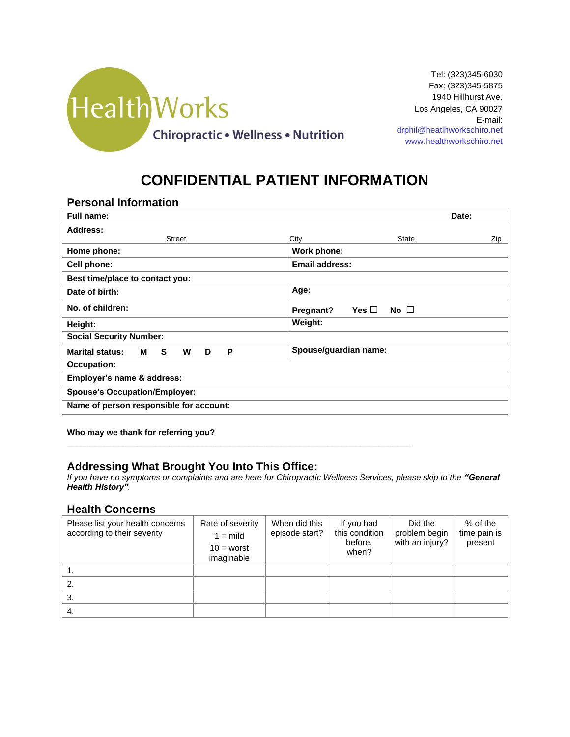

# **CONFIDENTIAL PATIENT INFORMATION**

### **Personal Information**

| Full name:                                       | Date:                                   |     |
|--------------------------------------------------|-----------------------------------------|-----|
| Address:                                         |                                         |     |
| <b>Street</b>                                    | City<br><b>State</b>                    | Zip |
| Home phone:                                      | Work phone:                             |     |
| Cell phone:                                      | Email address:                          |     |
| Best time/place to contact you:                  |                                         |     |
| Date of birth:                                   | Age:                                    |     |
| No. of children:                                 | No $\square$<br>Yes $\Box$<br>Pregnant? |     |
| Height:                                          | Weight:                                 |     |
| <b>Social Security Number:</b>                   |                                         |     |
| <b>Marital status:</b><br>S.<br>W<br>P<br>м<br>D | Spouse/guardian name:                   |     |
| <b>Occupation:</b>                               |                                         |     |
| Employer's name & address:                       |                                         |     |
| <b>Spouse's Occupation/Employer:</b>             |                                         |     |
| Name of person responsible for account:          |                                         |     |

**Who may we thank for referring you?** 

### **Addressing What Brought You Into This Office:**

**\_\_\_\_\_\_\_\_\_\_\_\_\_\_\_\_\_\_\_\_\_\_\_\_\_\_\_\_\_\_\_\_\_\_\_\_\_\_\_\_\_\_\_\_\_\_\_\_\_\_\_\_\_\_\_\_\_\_\_\_\_\_\_\_\_\_\_\_\_\_\_\_\_\_**

*If you have no symptoms or complaints and are here for Chiropractic Wellness Services, please skip to the "General Health History".*

### **Health Concerns**

| Please list your health concerns<br>according to their severity | Rate of severity<br>$1 =$ mild<br>$10 =$ worst<br>imaginable | When did this<br>episode start? | If you had<br>this condition<br>before,<br>when? | Did the<br>problem begin<br>with an injury? | $%$ of the<br>time pain is<br>present |
|-----------------------------------------------------------------|--------------------------------------------------------------|---------------------------------|--------------------------------------------------|---------------------------------------------|---------------------------------------|
|                                                                 |                                                              |                                 |                                                  |                                             |                                       |
| 2.                                                              |                                                              |                                 |                                                  |                                             |                                       |
| 3.                                                              |                                                              |                                 |                                                  |                                             |                                       |
| 4.                                                              |                                                              |                                 |                                                  |                                             |                                       |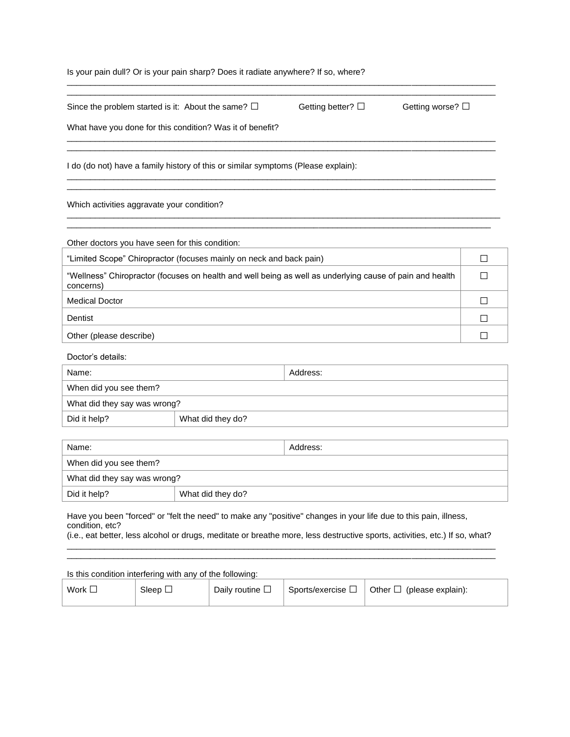#### Is your pain dull? Or is your pain sharp? Does it radiate anywhere? If so, where?

| Since the problem started is it: About the same? $\square$ | Getting better? $\Box$ | Getting worse? $\Box$ |
|------------------------------------------------------------|------------------------|-----------------------|
| What have you done for this condition? Was it of benefit?  |                        |                       |
|                                                            |                        |                       |

 $\overline{a}$  , and the state of the state of the state of the state of the state of the state of the state of the state of the state of the state of the state of the state of the state of the state of the state of the state o

 $\overline{a}$  , and the state of the state of the state of the state of the state of the state of the state of the state of the state of the state of the state of the state of the state of the state of the state of the state o  $\mathcal{L}_\mathcal{L} = \{ \mathcal{L}_\mathcal{L} = \{ \mathcal{L}_\mathcal{L} = \{ \mathcal{L}_\mathcal{L} = \{ \mathcal{L}_\mathcal{L} = \{ \mathcal{L}_\mathcal{L} = \{ \mathcal{L}_\mathcal{L} = \{ \mathcal{L}_\mathcal{L} = \{ \mathcal{L}_\mathcal{L} = \{ \mathcal{L}_\mathcal{L} = \{ \mathcal{L}_\mathcal{L} = \{ \mathcal{L}_\mathcal{L} = \{ \mathcal{L}_\mathcal{L} = \{ \mathcal{L}_\mathcal{L} = \{ \mathcal{L}_\mathcal{$ 

 $\overline{a}$  , and the state of the state of the state of the state of the state of the state of the state of the state of the state of the state of the state of the state of the state of the state of the state of the state o

I do (do not) have a family history of this or similar symptoms (Please explain):  $\overline{a}$  , and the state of the state of the state of the state of the state of the state of the state of the state of the state of the state of the state of the state of the state of the state of the state of the state o

Which activities aggravate your condition?

Other doctors you have seen for this condition:

| "Limited Scope" Chiropractor (focuses mainly on neck and back pain)                                                   |  |
|-----------------------------------------------------------------------------------------------------------------------|--|
| "Wellness" Chiropractor (focuses on health and well being as well as underlying cause of pain and health<br>concerns) |  |
| <b>Medical Doctor</b>                                                                                                 |  |
| Dentist                                                                                                               |  |
| Other (please describe)                                                                                               |  |

Doctor's details:

| Name:                        |                   | Address: |
|------------------------------|-------------------|----------|
| When did you see them?       |                   |          |
| What did they say was wrong? |                   |          |
| Did it help?                 | What did they do? |          |

| Name:                        |                   | Address: |
|------------------------------|-------------------|----------|
| When did you see them?       |                   |          |
| What did they say was wrong? |                   |          |
| Did it help?                 | What did they do? |          |

Have you been "forced" or "felt the need" to make any "positive" changes in your life due to this pain, illness, condition, etc?

(i.e., eat better, less alcohol or drugs, meditate or breathe more, less destructive sports, activities, etc.) If so, what?  $\mathcal{L}_\mathcal{L} = \{ \mathcal{L}_\mathcal{L} = \{ \mathcal{L}_\mathcal{L} = \{ \mathcal{L}_\mathcal{L} = \{ \mathcal{L}_\mathcal{L} = \{ \mathcal{L}_\mathcal{L} = \{ \mathcal{L}_\mathcal{L} = \{ \mathcal{L}_\mathcal{L} = \{ \mathcal{L}_\mathcal{L} = \{ \mathcal{L}_\mathcal{L} = \{ \mathcal{L}_\mathcal{L} = \{ \mathcal{L}_\mathcal{L} = \{ \mathcal{L}_\mathcal{L} = \{ \mathcal{L}_\mathcal{L} = \{ \mathcal{L}_\mathcal{$  $\overline{a}$  , and the state of the state of the state of the state of the state of the state of the state of the state of the state of the state of the state of the state of the state of the state of the state of the state o

| Is this condition interfering with any of the following: |              |                         |                           |                                |  |
|----------------------------------------------------------|--------------|-------------------------|---------------------------|--------------------------------|--|
| Work $\Box$                                              | Sleep $\Box$ | Daily routine $\square$ | Sports/exercise $\square$ | Other $\Box$ (please explain): |  |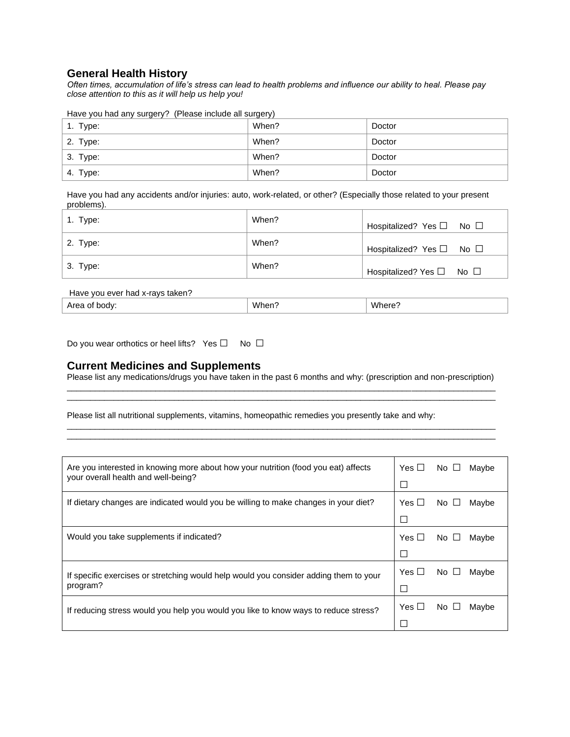### **General Health History**

*Often times, accumulation of life's stress can lead to health problems and influence our ability to heal. Please pay close attention to this as it will help us help you!* 

Have you had any surgery? (Please include all surgery)

| 1. Type: | When? | Doctor |
|----------|-------|--------|
| 2. Type: | When? | Doctor |
| 3. Type: | When? | Doctor |
| 4. Type: | When? | Doctor |

Have you had any accidents and/or injuries: auto, work-related, or other? (Especially those related to your present problems).

| 1. Type:   | When? | Hospitalized? Yes □ No □ |
|------------|-------|--------------------------|
| 2. Type:   | When? | Hospitalized? Yes □ No □ |
| $3.$ Type: | When? | Hospitalized? Yes □ No □ |

| Have you ever had x-rays taken? |       |        |
|---------------------------------|-------|--------|
| Area of body:                   | When? | Where? |

Do you wear orthotics or heel lifts? Yes □ No □

#### **Current Medicines and Supplements**

Please list any medications/drugs you have taken in the past 6 months and why: (prescription and non-prescription)  $\overline{a}$  , and the state of the state of the state of the state of the state of the state of the state of the state of the state of the state of the state of the state of the state of the state of the state of the state o

 $\overline{a}$  , and the state of the state of the state of the state of the state of the state of the state of the state of the state of the state of the state of the state of the state of the state of the state of the state o

 $\overline{a}$  , and the state of the state of the state of the state of the state of the state of the state of the state of the state of the state of the state of the state of the state of the state of the state of the state o  $\overline{a}$  , and the state of the state of the state of the state of the state of the state of the state of the state of the state of the state of the state of the state of the state of the state of the state of the state o

Please list all nutritional supplements, vitamins, homeopathic remedies you presently take and why:

| Are you interested in knowing more about how your nutrition (food you eat) affects    |              | $No$ $\Box$ | Mavbe |
|---------------------------------------------------------------------------------------|--------------|-------------|-------|
| your overall health and well-being?                                                   | $\mathsf{L}$ |             |       |
| If dietary changes are indicated would you be willing to make changes in your diet?   | Yes $\Box$   | $No \cup$   | Maybe |
|                                                                                       | $\mathsf{L}$ |             |       |
| Would you take supplements if indicated?                                              | Yes $\Box$   | $No \Box$   | Maybe |
|                                                                                       | . .          |             |       |
| If specific exercises or stretching would help would you consider adding them to your | Yes $\Box$   | $No \Box$   | Maybe |
| program?                                                                              |              |             |       |
| If reducing stress would you help you would you like to know ways to reduce stress?   | Yes $\Box$   | $No \Box$   | Maybe |
|                                                                                       |              |             |       |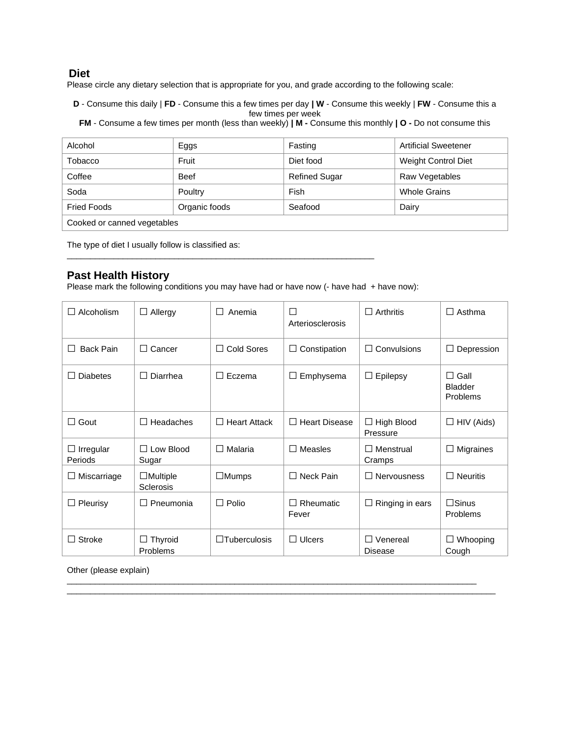### **Diet**

Please circle any dietary selection that is appropriate for you, and grade according to the following scale:

**D** - Consume this daily | **FD** - Consume this a few times per day **| W** - Consume this weekly | **FW** - Consume this a few times per week

**FM** - Consume a few times per month (less than weekly) **| M -** Consume this monthly **| O -** Do not consume this

| Alcohol                     | Eggs          | Fasting       | <b>Artificial Sweetener</b> |  |
|-----------------------------|---------------|---------------|-----------------------------|--|
| Tobacco                     | Fruit         | Diet food     | <b>Weight Control Diet</b>  |  |
| Coffee                      | <b>Beef</b>   | Refined Sugar | Raw Vegetables              |  |
| Soda                        | Poultry       | Fish          | <b>Whole Grains</b>         |  |
| <b>Fried Foods</b>          | Organic foods | Seafood       | Dairy                       |  |
| Cooked or canned vegetables |               |               |                             |  |

The type of diet I usually follow is classified as:

### **Past Health History**

Please mark the following conditions you may have had or have now (- have had + have now):

 $\overline{a}$  , and the state of the state of the state of the state of the state of the state of the state of the state of the state of the state of the state of the state of the state of the state of the state of the state o

| Alcoholism                  | Allergy<br>⊔                        | Anemia<br>$\vert \ \ \vert$ | П<br>Arteriosclerosis   | Arthritis<br>$\perp$                | $\Box$ Asthma                             |
|-----------------------------|-------------------------------------|-----------------------------|-------------------------|-------------------------------------|-------------------------------------------|
| <b>Back Pain</b>            | Cancer<br>$\perp$                   | Cold Sores<br>$\Box$        | Constipation            | Convulsions<br>П                    | Depression<br>$\Box$                      |
| <b>Diabetes</b>             | Diarrhea                            | Eczema<br>$\perp$           | Emphysema<br>⊔          | Epilepsy<br>⊔                       | $\Box$ Gall<br><b>Bladder</b><br>Problems |
| П<br>Gout                   | Headaches                           | <b>Heart Attack</b><br>П    | $\Box$ Heart Disease    | $\Box$ High Blood<br>Pressure       | $\Box$ HIV (Aids)                         |
| $\Box$ Irregular<br>Periods | $\Box$ Low Blood<br>Sugar           | Malaria<br>П                | Measles                 | $\Box$ Menstrual<br>Cramps          | $\Box$ Migraines                          |
| Miscarriage<br>⊔            | $\Box$ Multiple<br><b>Sclerosis</b> | $\Box$ Mumps                | $\Box$ Neck Pain        | $\Box$ Nervousness                  | $\Box$ Neuritis                           |
| Pleurisy<br>П               | Pneumonia<br>$\mathsf{L}$           | Polio<br>П                  | Rheumatic<br>П<br>Fever | Ringing in ears<br>⊔                | $\Box$ Sinus<br><b>Problems</b>           |
| Stroke<br>H                 | Thyroid<br>Problems                 | $\Box$ Tuberculosis         | $\Box$ Ulcers           | Venereal<br>$\mathsf{L}$<br>Disease | Whooping<br>$\Box$<br>Cough               |

\_\_\_\_\_\_\_\_\_\_\_\_\_\_\_\_\_\_\_\_\_\_\_\_\_\_\_\_\_\_\_\_\_\_\_\_\_\_\_\_\_\_\_\_\_\_\_\_\_\_\_\_\_\_\_\_\_\_\_\_\_\_\_\_\_\_\_\_\_\_\_\_\_\_\_\_\_\_\_\_\_\_\_\_\_\_\_\_  $\overline{a}$  , and the state of the state of the state of the state of the state of the state of the state of the state of the state of the state of the state of the state of the state of the state of the state of the state o

Other (please explain)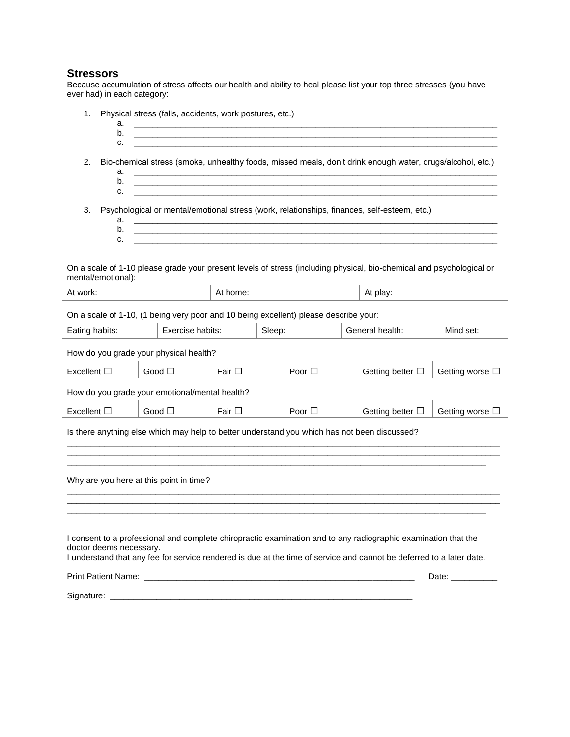## **Stressors**

Because accumulation of stress affects our health and ability to heal please list your top three stresses (you have ever had) in each category:

| 1.<br>a.<br>b.<br>c.                                                                                                                                                                                                                                              | Physical stress (falls, accidents, work postures, etc.) |             |        |                          |                 |                                                                                                                      |                 |
|-------------------------------------------------------------------------------------------------------------------------------------------------------------------------------------------------------------------------------------------------------------------|---------------------------------------------------------|-------------|--------|--------------------------|-----------------|----------------------------------------------------------------------------------------------------------------------|-----------------|
| Bio-chemical stress (smoke, unhealthy foods, missed meals, don't drink enough water, drugs/alcohol, etc.)<br>2.<br>а.<br>b.<br>c.                                                                                                                                 |                                                         |             |        |                          |                 |                                                                                                                      |                 |
| Psychological or mental/emotional stress (work, relationships, finances, self-esteem, etc.)<br>3.<br>a.<br>b.<br>c.                                                                                                                                               |                                                         |             |        |                          |                 |                                                                                                                      |                 |
| mental/emotional):                                                                                                                                                                                                                                                |                                                         |             |        |                          |                 | On a scale of 1-10 please grade your present levels of stress (including physical, bio-chemical and psychological or |                 |
| At work:                                                                                                                                                                                                                                                          | At home:                                                |             |        |                          |                 | At play:                                                                                                             |                 |
| On a scale of 1-10, (1 being very poor and 10 being excellent) please describe your:                                                                                                                                                                              |                                                         |             |        |                          |                 |                                                                                                                      |                 |
| Exercise habits:<br>Eating habits:                                                                                                                                                                                                                                |                                                         |             | Sleep: |                          |                 | General health:                                                                                                      | Mind set:       |
| How do you grade your physical health?                                                                                                                                                                                                                            |                                                         |             |        |                          |                 |                                                                                                                      |                 |
| Excellent $\square$<br>Good $\Box$                                                                                                                                                                                                                                |                                                         | Fair $\Box$ |        |                          |                 | Getting better $\Box$                                                                                                | Getting worse □ |
| How do you grade your emotional/mental health?                                                                                                                                                                                                                    |                                                         |             |        |                          |                 |                                                                                                                      |                 |
| Excellent $\square$                                                                                                                                                                                                                                               | Good $\square$<br>Fair $\Box$<br>Poor $\Box$            |             |        | Getting better $\square$ | Getting worse □ |                                                                                                                      |                 |
| Is there anything else which may help to better understand you which has not been discussed?                                                                                                                                                                      |                                                         |             |        |                          |                 |                                                                                                                      |                 |
| Why are you here at this point in time?                                                                                                                                                                                                                           |                                                         |             |        |                          |                 |                                                                                                                      |                 |
| I consent to a professional and complete chiropractic examination and to any radiographic examination that the<br>doctor deems necessary.<br>I understand that any fee for service rendered is due at the time of service and cannot be deferred to a later date. |                                                         |             |        |                          |                 |                                                                                                                      |                 |
|                                                                                                                                                                                                                                                                   |                                                         |             |        |                          |                 | Date: ___________                                                                                                    |                 |
|                                                                                                                                                                                                                                                                   |                                                         |             |        |                          |                 |                                                                                                                      |                 |